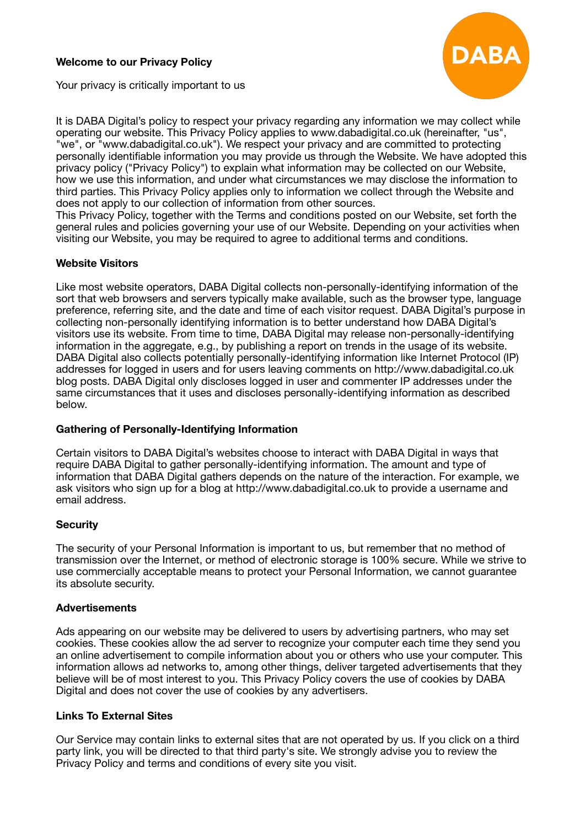# **Welcome to our Privacy Policy**



Your privacy is critically important to us

It is DABA Digital's policy to respect your privacy regarding any information we may collect while operating our website. This Privacy Policy applies to www.dabadigital.co.uk (hereinafter, "us", "we", or "www.dabadigital.co.uk"). We respect your privacy and are committed to protecting personally identifiable information you may provide us through the Website. We have adopted this privacy policy ("Privacy Policy") to explain what information may be collected on our Website, how we use this information, and under what circumstances we may disclose the information to third parties. This Privacy Policy applies only to information we collect through the Website and does not apply to our collection of information from other sources.

This Privacy Policy, together with the Terms and conditions posted on our Website, set forth the general rules and policies governing your use of our Website. Depending on your activities when visiting our Website, you may be required to agree to additional terms and conditions.

# **Website Visitors**

Like most website operators, DABA Digital collects non-personally-identifying information of the sort that web browsers and servers typically make available, such as the browser type, language preference, referring site, and the date and time of each visitor request. DABA Digital's purpose in collecting non-personally identifying information is to better understand how DABA Digital's visitors use its website. From time to time, DABA Digital may release non-personally-identifying information in the aggregate, e.g., by publishing a report on trends in the usage of its website. DABA Digital also collects potentially personally-identifying information like Internet Protocol (IP) addresses for logged in users and for users leaving comments on http://www.dabadigital.co.uk blog posts. DABA Digital only discloses logged in user and commenter IP addresses under the same circumstances that it uses and discloses personally-identifying information as described below.

## **Gathering of Personally-Identifying Information**

Certain visitors to DABA Digital's websites choose to interact with DABA Digital in ways that require DABA Digital to gather personally-identifying information. The amount and type of information that DABA Digital gathers depends on the nature of the interaction. For example, we ask visitors who sign up for a blog at http://www.dabadigital.co.uk to provide a username and email address.

## **Security**

The security of your Personal Information is important to us, but remember that no method of transmission over the Internet, or method of electronic storage is 100% secure. While we strive to use commercially acceptable means to protect your Personal Information, we cannot guarantee its absolute security.

#### **Advertisements**

Ads appearing on our website may be delivered to users by advertising partners, who may set cookies. These cookies allow the ad server to recognize your computer each time they send you an online advertisement to compile information about you or others who use your computer. This information allows ad networks to, among other things, deliver targeted advertisements that they believe will be of most interest to you. This Privacy Policy covers the use of cookies by DABA Digital and does not cover the use of cookies by any advertisers.

## **Links To External Sites**

Our Service may contain links to external sites that are not operated by us. If you click on a third party link, you will be directed to that third party's site. We strongly advise you to review the Privacy Policy and terms and conditions of every site you visit.